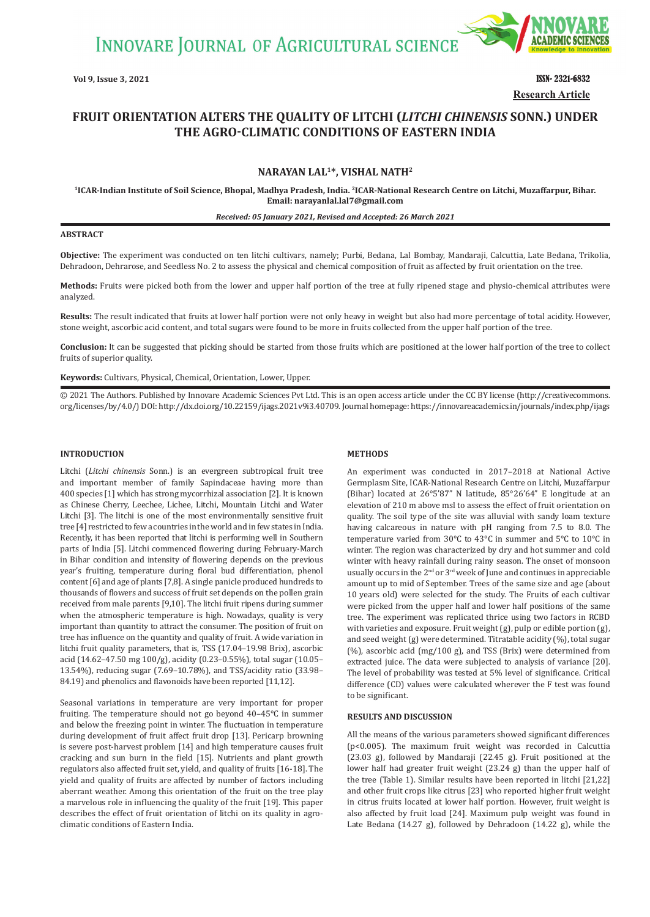**INNOVARE JOURNAL OF AGRICULTURAL SCIENCE** 



**Vol 9, Issue 3, 2021** ISSN- 2321-6832 **Research Article**

# **FRUIT ORIENTATION ALTERS THE QUALITY OF LITCHI (***LITCHI CHINENSIS* **SONN.) UNDER THE AGRO-CLIMATIC CONDITIONS OF EASTERN INDIA**

# **NARAYAN LAL1\*, VISHAL NATH2**

**<sup>1</sup>ICAR-Indian Institute of Soil Science, Bhopal, Madhya Pradesh, India. <sup>2</sup>ICAR-National Research Centre on Litchi, Muzaffarpur, Bihar. Email: narayanlal.lal7@gmail.com**

#### *Received: 05 January 2021, Revised and Accepted: 26 March 2021*

#### **ABSTRACT**

**Objective:** The experiment was conducted on ten litchi cultivars, namely; Purbi, Bedana, Lal Bombay, Mandaraji, Calcuttia, Late Bedana, Trikolia, Dehradoon, Dehrarose, and Seedless No. 2 to assess the physical and chemical composition of fruit as affected by fruit orientation on the tree.

**Methods:** Fruits were picked both from the lower and upper half portion of the tree at fully ripened stage and physio-chemical attributes were analyzed.

**Results:** The result indicated that fruits at lower half portion were not only heavy in weight but also had more percentage of total acidity. However, stone weight, ascorbic acid content, and total sugars were found to be more in fruits collected from the upper half portion of the tree.

**Conclusion:** It can be suggested that picking should be started from those fruits which are positioned at the lower half portion of the tree to collect fruits of superior quality.

**Keywords:** Cultivars, Physical, Chemical, Orientation, Lower, Upper.

© 2021 The Authors. Published by Innovare Academic Sciences Pvt Ltd. This is an open access article under the CC BY license (http://creativecommons. org/licenses/by/4.0/) DOI: http://dx.doi.org/10.22159/ijags.2021v9i3.40709. Journal homepage: https://innovareacademics.in/journals/index.php/ijags

#### **INTRODUCTION**

Litchi (*Litchi chinensis* Sonn.) is an evergreen subtropical fruit tree and important member of family Sapindaceae having more than 400 species [1] which has strong mycorrhizal association [2]. It is known as Chinese Cherry, Leechee, Lichee, Litchi, Mountain Litchi and Water Litchi [3]. The litchi is one of the most environmentally sensitive fruit tree [4] restricted to few a countries in the world and in few states in India. Recently, it has been reported that litchi is performing well in Southern parts of India [5]. Litchi commenced flowering during February-March in Bihar condition and intensity of flowering depends on the previous year's fruiting, temperature during floral bud differentiation, phenol content [6] and age of plants [7,8]. A single panicle produced hundreds to thousands of flowers and success of fruit set depends on the pollen grain received from male parents [9,10]. The litchi fruit ripens during summer when the atmospheric temperature is high. Nowadays, quality is very important than quantity to attract the consumer. The position of fruit on tree has influence on the quantity and quality of fruit. A wide variation in litchi fruit quality parameters, that is, TSS (17.04–19.98 Brix), ascorbic acid (14.62–47.50 mg 100/g), acidity (0.23–0.55%), total sugar (10.05– 13.54%), reducing sugar (7.69–10.78%), and TSS/acidity ratio (33.98– 84.19) and phenolics and flavonoids have been reported [11,12].

Seasonal variations in temperature are very important for proper fruiting. The temperature should not go beyond 40–45℃ in summer and below the freezing point in winter. The fluctuation in temperature during development of fruit affect fruit drop [13]. Pericarp browning is severe post-harvest problem [14] and high temperature causes fruit cracking and sun burn in the field [15]. Nutrients and plant growth regulators also affected fruit set, yield, and quality of fruits [16-18]. The yield and quality of fruits are affected by number of factors including aberrant weather. Among this orientation of the fruit on the tree play a marvelous role in influencing the quality of the fruit [19]. This paper describes the effect of fruit orientation of litchi on its quality in agroclimatic conditions of Eastern India.

### **METHODS**

An experiment was conducted in 2017–2018 at National Active Germplasm Site, ICAR-National Research Centre on Litchi, Muzaffarpur (Bihar) located at 26°5'87" N latitude, 85°26'64" E longitude at an elevation of 210 m above msl to assess the effect of fruit orientation on quality. The soil type of the site was alluvial with sandy loam texture having calcareous in nature with pH ranging from 7.5 to 8.0. The temperature varied from 30°C to 43°C in summer and 5°C to 10°C in winter. The region was characterized by dry and hot summer and cold winter with heavy rainfall during rainy season. The onset of monsoon usually occurs in the 2<sup>nd</sup> or 3<sup>rd</sup> week of June and continues in appreciable amount up to mid of September. Trees of the same size and age (about 10 years old) were selected for the study. The Fruits of each cultivar were picked from the upper half and lower half positions of the same tree. The experiment was replicated thrice using two factors in RCBD with varieties and exposure. Fruit weight (g), pulp or edible portion (g), and seed weight (g) were determined. Titratable acidity (%), total sugar (%), ascorbic acid (mg/100 g), and TSS (Brix) were determined from extracted juice. The data were subjected to analysis of variance [20]. The level of probability was tested at 5% level of significance. Critical difference (CD) values were calculated wherever the F test was found to be significant.

#### **RESULTS AND DISCUSSION**

All the means of the various parameters showed significant differences (p<0.005). The maximum fruit weight was recorded in Calcuttia (23.03 g), followed by Mandaraji (22.45 g). Fruit positioned at the lower half had greater fruit weight (23.24 g) than the upper half of the tree (Table 1). Similar results have been reported in litchi [21,22] and other fruit crops like citrus [23] who reported higher fruit weight in citrus fruits located at lower half portion. However, fruit weight is also affected by fruit load [24]. Maximum pulp weight was found in Late Bedana (14.27 g), followed by Dehradoon (14.22 g), while the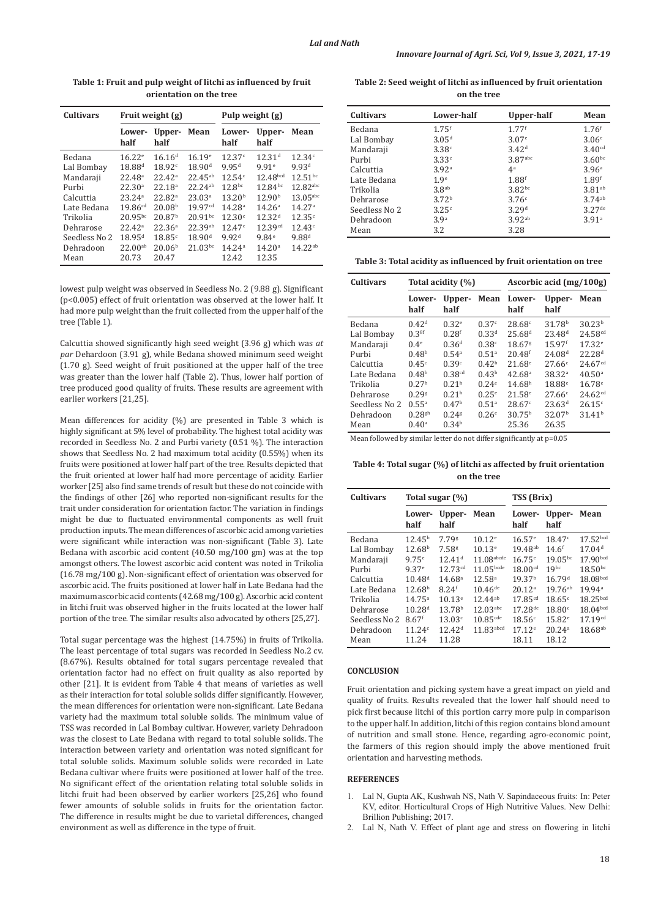| <b>Cultivars</b> | Fruit weight (g)   |                    |                       | Pulp weight (g)    |                      |                    |  |
|------------------|--------------------|--------------------|-----------------------|--------------------|----------------------|--------------------|--|
|                  | Lower-<br>half     | Upper-<br>half     | Mean                  | Lower-<br>half     | Upper-<br>half       | Mean               |  |
| Bedana           | $16.22^e$          | $16.16^{d}$        | $16.19^e$             | 12.37c             | 12.31 <sup>d</sup>   | 12.34c             |  |
| Lal Bombay       | 18.88 <sup>d</sup> | 18.92 <sup>c</sup> | 18.90 <sup>d</sup>    | 9.95 <sup>d</sup>  | 9.91e                | 9.93 <sup>d</sup>  |  |
| Mandaraji        | 22.48 <sup>a</sup> | 22.42 <sup>a</sup> | $22.45^{ab}$          | 12.54c             | 12.48 <sub>bcd</sub> | $12.51^{bc}$       |  |
| Purbi            | 22.30 <sup>a</sup> | 22.18 <sup>a</sup> | $22.24$ <sup>ab</sup> | 12.8 <sup>bc</sup> | $12.84^{bc}$         | 12.82abc           |  |
| Calcuttia        | 23.24 <sup>a</sup> | 22.82 <sup>a</sup> | 23.03 <sup>a</sup>    | 13.20 <sup>b</sup> | 12.90 <sup>b</sup>   | $13.05$ abc        |  |
| Late Bedana      | $19.86^{cd}$       | 20.08 <sup>b</sup> | 19.97 <sup>cd</sup>   | 14.28 <sup>a</sup> | 14.26 <sup>a</sup>   | 14.27 <sup>a</sup> |  |
| Trikolia         | $20.95^{bc}$       | 20.87 <sup>b</sup> | $20.91^{bc}$          | 12.30c             | 12.32 <sup>d</sup>   | 12.35c             |  |
| Dehrarose        | 22.42 <sup>a</sup> | 22.36 <sup>a</sup> | 22.39ab               | 12.47c             | 12.39cd              | 12.43c             |  |
| Seedless No 2    | $18.95^{d}$        | 18.85c             | 18.90 <sup>d</sup>    | 9.92 <sup>d</sup>  | 9.84e                | $9.88^{d}$         |  |
| Dehradoon        | $22.00^{ab}$       | 20.06 <sup>b</sup> | $21.03^{bc}$          | 14.24 <sup>a</sup> | 14.20 <sup>a</sup>   | $14.22^{ab}$       |  |
| Mean             | 20.73              | 20.47              |                       | 12.42              | 12.35                |                    |  |

**Table 1: Fruit and pulp weight of litchi as influenced by fruit orientation on the tree**

lowest pulp weight was observed in Seedless No. 2 (9.88 g). Significant (p<0.005) effect of fruit orientation was observed at the lower half. It had more pulp weight than the fruit collected from the upper half of the tree (Table 1).

Calcuttia showed significantly high seed weight (3.96 g) which was *at par* Dehardoon (3.91 g), while Bedana showed minimum seed weight (1.70 g). Seed weight of fruit positioned at the upper half of the tree was greater than the lower half (Table 2). Thus, lower half portion of tree produced good quality of fruits. These results are agreement with earlier workers [21,25].

Mean differences for acidity (%) are presented in Table 3 which is highly significant at 5% level of probability. The highest total acidity was recorded in Seedless No. 2 and Purbi variety (0.51 %). The interaction shows that Seedless No. 2 had maximum total acidity (0.55%) when its fruits were positioned at lower half part of the tree. Results depicted that the fruit oriented at lower half had more percentage of acidity. Earlier worker [25] also find same trends of result but these do not coincide with the findings of other [26] who reported non-significant results for the trait under consideration for orientation factor. The variation in findings might be due to fluctuated environmental components as well fruit production inputs. The mean differences of ascorbic acid among varieties were significant while interaction was non-significant (Table 3). Late Bedana with ascorbic acid content (40.50 mg/100 gm) was at the top amongst others. The lowest ascorbic acid content was noted in Trikolia (16.78 mg/100 g). Non-significant effect of orientation was observed for ascorbic acid. The fruits positioned at lower half in Late Bedana had the maximum ascorbic acid contents (42.68 mg/100 g). Ascorbic acid content in litchi fruit was observed higher in the fruits located at the lower half portion of the tree. The similar results also advocated by others [25,27].

Total sugar percentage was the highest (14.75%) in fruits of Trikolia. The least percentage of total sugars was recorded in Seedless No.2 cv. (8.67%). Results obtained for total sugars percentage revealed that orientation factor had no effect on fruit quality as also reported by other [21]. It is evident from Table 4 that means of varieties as well as their interaction for total soluble solids differ significantly. However, the mean differences for orientation were non-significant. Late Bedana variety had the maximum total soluble solids. The minimum value of TSS was recorded in Lal Bombay cultivar. However, variety Dehradoon was the closest to Late Bedana with regard to total soluble solids. The interaction between variety and orientation was noted significant for total soluble solids. Maximum soluble solids were recorded in Late Bedana cultivar where fruits were positioned at lower half of the tree. No significant effect of the orientation relating total soluble solids in litchi fruit had been observed by earlier workers [25,26] who found fewer amounts of soluble solids in fruits for the orientation factor. The difference in results might be due to varietal differences, changed environment as well as difference in the type of fruit.

**Table 2: Seed weight of litchi as influenced by fruit orientation on the tree**

| <b>Cultivars</b> | Lower-half          | Upper-half          | Mean               |
|------------------|---------------------|---------------------|--------------------|
| Bedana           | $1.75$ <sup>f</sup> | $1.77$ <sup>f</sup> | 1.76 <sup>f</sup>  |
| Lal Bombay       | 3.05 <sup>d</sup>   | 3.07 <sup>e</sup>   | 3.06 <sup>e</sup>  |
| Mandaraji        | 3.38c               | 3.42 <sup>d</sup>   | 3.40 <sup>cd</sup> |
| Purbi            | 3.33c               | 3.87abc             | 3.60 <sub>bc</sub> |
| Calcuttia        | 3.92 <sup>a</sup>   | 4 <sup>a</sup>      | 3.96 <sup>a</sup>  |
| Late Bedana      | 1.9 <sup>e</sup>    | 1.88 <sup>f</sup>   | 1.89 <sup>f</sup>  |
| Trikolia         | 3.8 <sup>ab</sup>   | 3.82 <sup>bc</sup>  | 3.81ab             |
| Dehrarose        | 3.72 <sup>b</sup>   | 3.76c               | 3.74ab             |
| Seedless No 2    | 3.25c               | 3.29 <sup>d</sup>   | $3.27$ de          |
| Dehradoon        | 3.9 <sup>a</sup>    | 3.92ab              | 3.91a              |
| Mean             | 3.2                 | 3.28                |                    |

**Table 3: Total acidity as influenced by fruit orientation on tree**

| <b>Cultivars</b> | Total acidity (%)    |                    |                   | Ascorbic acid (mg/100g) |                      |                     |  |
|------------------|----------------------|--------------------|-------------------|-------------------------|----------------------|---------------------|--|
|                  | Lower-<br>half       | Upper-<br>half     | Mean              | Lower-<br>half          | Upper-<br>half       | Mean                |  |
| Bedana           | 0.42 <sup>d</sup>    | 0.32 <sup>e</sup>  | 0.37c             | 28.68c                  | 31.78 <sup>b</sup>   | 30.23 <sup>b</sup>  |  |
| Lal Bombay       | 0.3 <sup>8f</sup>    | 0.28 <sup>f</sup>  | $0.33^{d}$        | $25.68^{d}$             | $23.48^{d}$          | 24.58 <sup>cd</sup> |  |
| Mandaraji        | 0.4 <sup>e</sup>     | 0.36 <sup>d</sup>  | 0.38 <sup>c</sup> | 18.67 <sup>g</sup>      | $15.97$ <sup>f</sup> | 17.32e              |  |
| Purbi            | 0.48 <sup>b</sup>    | 0.54 <sup>a</sup>  | 0.51 <sup>a</sup> | $20.48$ <sup>f</sup>    | 24.08 <sup>d</sup>   | 22.28 <sup>d</sup>  |  |
| Calcuttia        | 0.45c                | 0.39c              | 0.42 <sup>b</sup> | $21.68^{\circ}$         | 27.66c               | 24.67 <sup>cd</sup> |  |
| Late Bedana      | 0.48 <sup>b</sup>    | 0.38 <sup>cd</sup> | 0.43 <sup>b</sup> | 42.68 <sup>a</sup>      | 38.32 <sup>a</sup>   | 40.50 <sup>a</sup>  |  |
| Trikolia         | 0.27 <sup>h</sup>    | 0.21 <sup>h</sup>  | $0.24^e$          | 14.68 <sup>h</sup>      | 18.88 <sup>e</sup>   | $16.78^{\circ}$     |  |
| Dehrarose        | 0.298                | 0.21 <sup>h</sup>  | $0.25^{\circ}$    | $21.58^e$               | 27.66c               | 24.62 <sup>cd</sup> |  |
| Seedless No 2    | $0.55^{a}$           | 0.47 <sup>b</sup>  | 0.51 <sup>a</sup> | 28.67c                  | 23.63 <sup>d</sup>   | 26.15c              |  |
| Dehradoon        | $0.28$ <sup>gh</sup> | 0.248              | $0.26^{\circ}$    | 30.75 <sup>b</sup>      | 32.07 <sup>b</sup>   | 31.41 <sup>b</sup>  |  |
| Mean             | $0.40$ <sup>a</sup>  | 0.34 <sup>b</sup>  |                   | 25.36                   | 26.35                |                     |  |

Mean followed by similar letter do not differ significantly at p=0.05

**Table 4: Total sugar (%) of litchi as affected by fruit orientation on the tree**

| <b>Cultivars</b> | Total sugar (%)     |                     |                        | <b>TSS</b> (Brix)   |                    |                      |
|------------------|---------------------|---------------------|------------------------|---------------------|--------------------|----------------------|
|                  | Lower-<br>half      | Upper-<br>half      | Mean                   | Lower-<br>half      | Upper-<br>half     | Mean                 |
| Bedana           | $12.45^{b}$         | 7.79s               | 10.12 <sup>e</sup>     | 16.57 <sup>e</sup>  | 18.47 <sup>c</sup> | 17.52bcd             |
| Lal Bombay       | 12.68 <sup>b</sup>  | 7.58 <sup>g</sup>   | $10.13^e$              | $19.48^{ab}$        | $14.6^{\rm f}$     | 17.04 <sup>d</sup>   |
| Mandaraji        | $9.75^{\circ}$      | 12.41 <sup>d</sup>  | $11.08$ abcde          | $16.75^{\circ}$     | $19.05^{bc}$       | 17.90bcd             |
| Purbi            | 9.37 <sup>e</sup>   | 12.73 <sup>cd</sup> | $11.05$ bcde           | 18.00 <sup>cd</sup> | 19 <sub>pc</sub>   | $18.50$ bc           |
| Calcuttia        | $10.48^{d}$         | 14.68 <sup>a</sup>  | 12.58 <sup>a</sup>     | 19.37 <sup>b</sup>  | 16.79 <sup>d</sup> | 18.08 <sub>bcd</sub> |
| Late Bedana      | 12.68 <sup>b</sup>  | 8.24 <sup>f</sup>   | $10.46^{de}$           | 20.12 <sup>a</sup>  | $19.76^{ab}$       | 19.94 <sup>a</sup>   |
| Trikolia         | $14.75^{\circ}$     | $10.13^e$           | $12.44^{ab}$           | $17.85^{cd}$        | 18.65c             | 18.25 <sub>bcd</sub> |
| Dehrarose        | 10.28 <sup>d</sup>  | 13.78 <sup>b</sup>  | $12.03$ <sub>abc</sub> | $17.28^{de}$        | 18.80c             | 18.04 <sub>bcd</sub> |
| Seedless No 2    | $8.67$ <sup>f</sup> | 13.03c              | $10.85$ <sup>cde</sup> | 18.56c              | 15.82e             | 17.19 <sup>cd</sup>  |
| Dehradoon        | 11.24c              | 12.42 <sup>d</sup>  | $11.83$ abcd           | $17.12^e$           | 20.24a             | $18.68^{ab}$         |
| Mean             | 11.24               | 11.28               |                        | 18.11               | 18.12              |                      |

## **CONCLUSION**

Fruit orientation and picking system have a great impact on yield and quality of fruits. Results revealed that the lower half should need to pick first because litchi of this portion carry more pulp in comparison to the upper half. In addition, litchi of this region contains blond amount of nutrition and small stone. Hence, regarding agro-economic point, the farmers of this region should imply the above mentioned fruit orientation and harvesting methods.

## **REFERENCES**

- 1. Lal N, Gupta AK, Kushwah NS, Nath V. Sapindaceous fruits: In: Peter KV, editor. Horticultural Crops of High Nutritive Values. New Delhi: Brillion Publishing; 2017.
- 2. Lal N, Nath V. Effect of plant age and stress on flowering in litchi